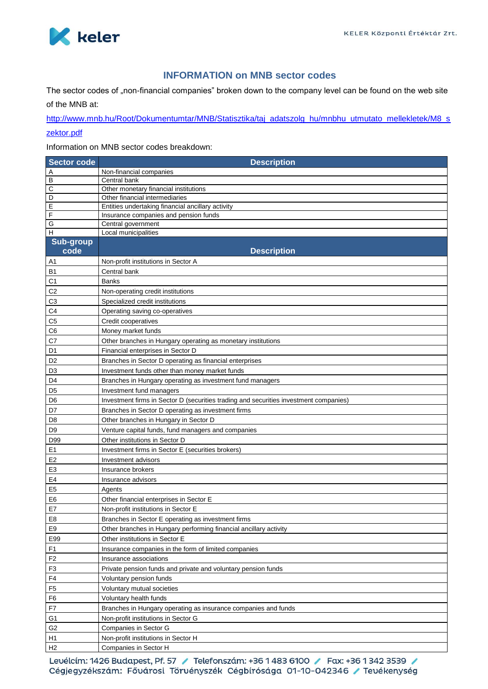

## **INFORMATION on MNB sector codes**

The sector codes of "non-financial companies" broken down to the company level can be found on the web site of the MNB at:

[http://www.mnb.hu/Root/Dokumentumtar/MNB/Statisztika/taj\\_adatszolg\\_hu/mnbhu\\_utmutato\\_mellekletek/M8\\_s](http://www.mnb.hu/Root/Dokumentumtar/MNB/Statisztika/taj_adatszolg_hu/mnbhu_utmutato_mellekletek/M8_szektor.pdf) [zektor.pdf](http://www.mnb.hu/Root/Dokumentumtar/MNB/Statisztika/taj_adatszolg_hu/mnbhu_utmutato_mellekletek/M8_szektor.pdf)

Information on MNB sector codes breakdown:

| <b>Sector code</b>   | <b>Description</b>                                                                    |
|----------------------|---------------------------------------------------------------------------------------|
| Α                    | Non-financial companies                                                               |
| В                    | Central bank                                                                          |
| С                    | Other monetary financial institutions                                                 |
| D                    | Other financial intermediaries                                                        |
| E                    | Entities undertaking financial ancillary activity                                     |
| F                    | Insurance companies and pension funds                                                 |
| G<br>$\mathsf{H}$    | Central government<br>Local municipalities                                            |
| <b>Sub-group</b>     |                                                                                       |
| code                 | <b>Description</b>                                                                    |
| Α1                   | Non-profit institutions in Sector A                                                   |
| <b>B1</b>            | Central bank                                                                          |
| C1                   | Banks                                                                                 |
| C <sub>2</sub>       | Non-operating credit institutions                                                     |
| C <sub>3</sub>       | Specialized credit institutions                                                       |
| C4                   | Operating saving co-operatives                                                        |
| C <sub>5</sub>       | Credit cooperatives                                                                   |
| C6                   | Money market funds                                                                    |
| C7                   | Other branches in Hungary operating as monetary institutions                          |
| D1                   | Financial enterprises in Sector D                                                     |
| D <sub>2</sub>       |                                                                                       |
|                      | Branches in Sector D operating as financial enterprises                               |
| D <sub>3</sub><br>D4 | Investment funds other than money market funds                                        |
| D <sub>5</sub>       | Branches in Hungary operating as investment fund managers<br>Investment fund managers |
|                      |                                                                                       |
| D <sub>6</sub>       | Investment firms in Sector D (securities trading and securities investment companies) |
| D7                   | Branches in Sector D operating as investment firms                                    |
| D <sub>8</sub>       | Other branches in Hungary in Sector D                                                 |
| D <sub>9</sub>       | Venture capital funds, fund managers and companies                                    |
| D99                  | Other institutions in Sector D                                                        |
| E <sub>1</sub>       | Investment firms in Sector E (securities brokers)                                     |
| E <sub>2</sub>       | Investment advisors                                                                   |
| E <sub>3</sub>       | Insurance brokers                                                                     |
| E4                   | Insurance advisors                                                                    |
| E <sub>5</sub>       | Agents                                                                                |
| E <sub>6</sub>       | Other financial enterprises in Sector E                                               |
| E7                   | Non-profit institutions in Sector E                                                   |
| E8                   | Branches in Sector E operating as investment firms                                    |
| E9                   | Other branches in Hungary performing financial ancillary activity                     |
| E99                  | Other institutions in Sector E                                                        |
| F <sub>1</sub>       | Insurance companies in the form of limited companies                                  |
| F <sub>2</sub>       | Insurance associations                                                                |
| F <sub>3</sub>       | Private pension funds and private and voluntary pension funds                         |
| F4                   | Voluntary pension funds                                                               |
| F <sub>5</sub>       | Voluntary mutual societies                                                            |
| F <sub>6</sub>       | Voluntary health funds                                                                |
| F7                   | Branches in Hungary operating as insurance companies and funds                        |
| G <sub>1</sub>       | Non-profit institutions in Sector G                                                   |
| G <sub>2</sub>       | Companies in Sector G                                                                 |
| H1                   | Non-profit institutions in Sector H                                                   |
| H2                   | Companies in Sector H                                                                 |

Levélcím: 1426 Budapest, Pf. 57 / Telefonszám: +36 1 483 6100 / Fax: +36 1 342 3539 / Cégjegyzékszám: Fővárosi Törvényszék Cégbírósága 01-10-042346 / Tevékenység